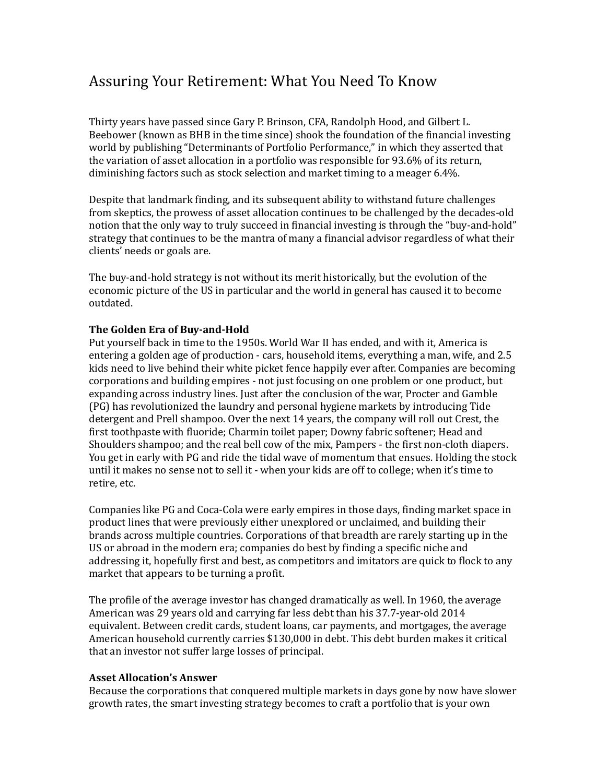# Assuring Your Retirement: What You Need To Know

Thirty years have passed since Gary P. Brinson, CFA, Randolph Hood, and Gilbert L. Beebower (known as BHB in the time since) shook the foundation of the financial investing world by publishing "Determinants of Portfolio Performance," in which they asserted that the variation of asset allocation in a portfolio was responsible for 93.6% of its return, diminishing factors such as stock selection and market timing to a meager 6.4%.

Despite that landmark finding, and its subsequent ability to withstand future challenges from skeptics, the prowess of asset allocation continues to be challenged by the decades-old notion that the only way to truly succeed in financial investing is through the "buy-and-hold" strategy that continues to be the mantra of many a financial advisor regardless of what their clients' needs or goals are.

The buy-and-hold strategy is not without its merit historically, but the evolution of the economic picture of the US in particular and the world in general has caused it to become outdated.

# **The Golden Era of Buy-and-Hold**

Put yourself back in time to the 1950s. World War II has ended, and with it, America is entering a golden age of production - cars, household items, everything a man, wife, and 2.5 kids need to live behind their white picket fence happily ever after. Companies are becoming corporations and building empires - not just focusing on one problem or one product, but expanding across industry lines. Just after the conclusion of the war, Procter and Gamble (PG) has revolutionized the laundry and personal hygiene markets by introducing Tide detergent and Prell shampoo. Over the next 14 years, the company will roll out Crest, the first toothpaste with fluoride; Charmin toilet paper; Downy fabric softener; Head and Shoulders shampoo; and the real bell cow of the mix, Pampers - the first non-cloth diapers. You get in early with PG and ride the tidal wave of momentum that ensues. Holding the stock until it makes no sense not to sell it - when your kids are off to college; when it's time to retire, etc.

Companies like PG and Coca-Cola were early empires in those days, finding market space in product lines that were previously either unexplored or unclaimed, and building their brands across multiple countries. Corporations of that breadth are rarely starting up in the US or abroad in the modern era; companies do best by finding a specific niche and addressing it, hopefully first and best, as competitors and imitators are quick to flock to any market that appears to be turning a profit.

The profile of the average investor has changed dramatically as well. In 1960, the average American was 29 years old and carrying far less debt than his 37.7-year-old 2014 equivalent. Between credit cards, student loans, car payments, and mortgages, the average American household currently carries \$130,000 in debt. This debt burden makes it critical that an investor not suffer large losses of principal.

### **Asset Allocation's Answer**

Because the corporations that conquered multiple markets in days gone by now have slower growth rates, the smart investing strategy becomes to craft a portfolio that is your own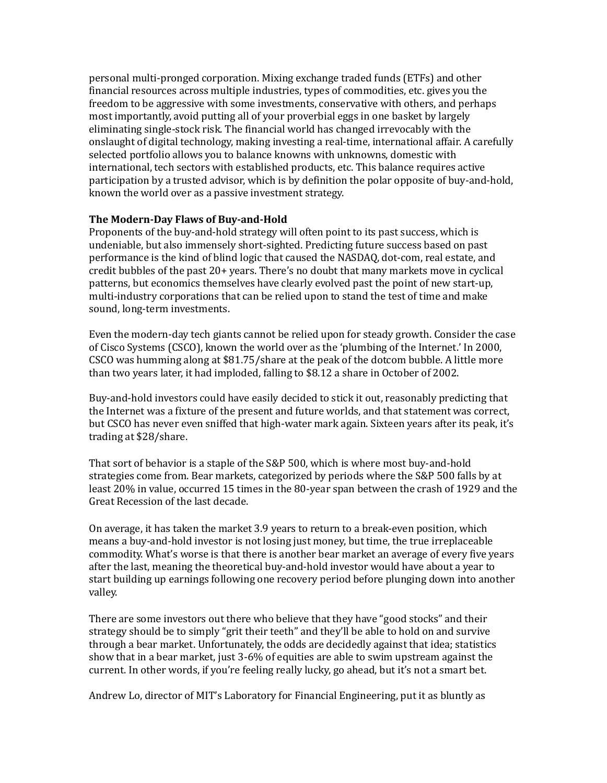personal multi-pronged corporation. Mixing exchange traded funds (ETFs) and other financial resources across multiple industries, types of commodities, etc. gives you the freedom to be aggressive with some investments, conservative with others, and perhaps most importantly, avoid putting all of your proverbial eggs in one basket by largely eliminating single-stock risk. The financial world has changed irrevocably with the onslaught of digital technology, making investing a real-time, international affair. A carefully selected portfolio allows you to balance knowns with unknowns, domestic with international, tech sectors with established products, etc. This balance requires active participation by a trusted advisor, which is by definition the polar opposite of buy-and-hold, known the world over as a passive investment strategy.

### **The Modern-Day Flaws of Buy-and-Hold**

Proponents of the buy-and-hold strategy will often point to its past success, which is undeniable, but also immensely short-sighted. Predicting future success based on past performance is the kind of blind logic that caused the NASDAQ, dot-com, real estate, and credit bubbles of the past 20+ years. There's no doubt that many markets move in cyclical patterns, but economics themselves have clearly evolved past the point of new start-up, multi-industry corporations that can be relied upon to stand the test of time and make sound, long-term investments.

Even the modern-day tech giants cannot be relied upon for steady growth. Consider the case of Cisco Systems (CSCO), known the world over as the 'plumbing of the Internet.' In 2000, CSCO was humming along at \$81.75/share at the peak of the dotcom bubble. A little more than two years later, it had imploded, falling to \$8.12 a share in October of 2002.

Buy-and-hold investors could have easily decided to stick it out, reasonably predicting that the Internet was a fixture of the present and future worlds, and that statement was correct, but CSCO has never even sniffed that high-water mark again. Sixteen years after its peak, it's trading at \$28/share.

That sort of behavior is a staple of the S&P 500, which is where most buy-and-hold strategies come from. Bear markets, categorized by periods where the S&P 500 falls by at least 20% in value, occurred 15 times in the 80-year span between the crash of 1929 and the Great Recession of the last decade.

On average, it has taken the market 3.9 years to return to a break-even position, which means a buy-and-hold investor is not losing just money, but time, the true irreplaceable commodity. What's worse is that there is another bear market an average of every five years after the last, meaning the theoretical buy-and-hold investor would have about a year to start building up earnings following one recovery period before plunging down into another valley.

There are some investors out there who believe that they have "good stocks" and their strategy should be to simply "grit their teeth" and they'll be able to hold on and survive through a bear market. Unfortunately, the odds are decidedly against that idea; statistics show that in a bear market, just 3-6% of equities are able to swim upstream against the current. In other words, if you're feeling really lucky, go ahead, but it's not a smart bet.

Andrew Lo, director of MIT's Laboratory for Financial Engineering, put it as bluntly as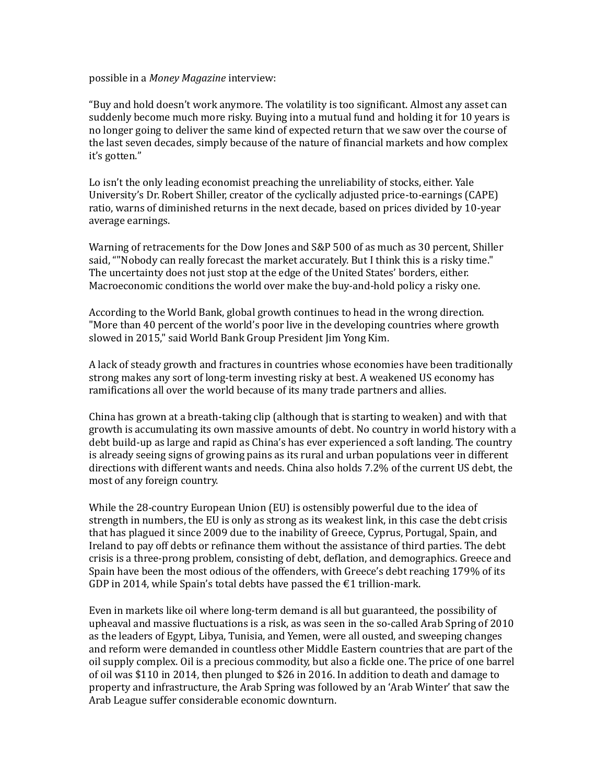possible in a *Money Magazine* interview:

"Buy and hold doesn't work anymore. The volatility is too significant. Almost any asset can suddenly become much more risky. Buying into a mutual fund and holding it for 10 years is no longer going to deliver the same kind of expected return that we saw over the course of the last seven decades, simply because of the nature of financial markets and how complex it's gotten."

Lo isn't the only leading economist preaching the unreliability of stocks, either. Yale University's Dr. Robert Shiller, creator of the cyclically adjusted price-to-earnings (CAPE) ratio, warns of diminished returns in the next decade, based on prices divided by 10-year average earnings.

Warning of retracements for the Dow Jones and S&P 500 of as much as 30 percent, Shiller said, ""Nobody can really forecast the market accurately. But I think this is a risky time." The uncertainty does not just stop at the edge of the United States' borders, either. Macroeconomic conditions the world over make the buy-and-hold policy a risky one.

According to the World Bank, global growth continues to head in the wrong direction. "More than 40 percent of the world's poor live in the developing countries where growth slowed in 2015," said World Bank Group President Jim Yong Kim.

A lack of steady growth and fractures in countries whose economies have been traditionally strong makes any sort of long-term investing risky at best. A weakened US economy has ramifications all over the world because of its many trade partners and allies.

China has grown at a breath-taking clip (although that is starting to weaken) and with that growth is accumulating its own massive amounts of debt. No country in world history with a debt build-up as large and rapid as China's has ever experienced a soft landing. The country is already seeing signs of growing pains as its rural and urban populations veer in different directions with different wants and needs. China also holds 7.2% of the current US debt, the most of any foreign country.

While the 28-country European Union (EU) is ostensibly powerful due to the idea of strength in numbers, the EU is only as strong as its weakest link, in this case the debt crisis that has plagued it since 2009 due to the inability of Greece, Cyprus, Portugal, Spain, and Ireland to pay off debts or refinance them without the assistance of third parties. The debt crisis is a three-prong problem, consisting of debt, deflation, and demographics. Greece and Spain have been the most odious of the offenders, with Greece's debt reaching 179% of its GDP in 2014, while Spain's total debts have passed the  $\epsilon$ 1 trillion-mark.

Even in markets like oil where long-term demand is all but guaranteed, the possibility of upheaval and massive fluctuations is a risk, as was seen in the so-called Arab Spring of 2010 as the leaders of Egypt, Libya, Tunisia, and Yemen, were all ousted, and sweeping changes and reform were demanded in countless other Middle Eastern countries that are part of the oil supply complex. Oil is a precious commodity, but also a fickle one. The price of one barrel of oil was \$110 in 2014, then plunged to \$26 in 2016. In addition to death and damage to property and infrastructure, the Arab Spring was followed by an 'Arab Winter' that saw the Arab League suffer considerable economic downturn.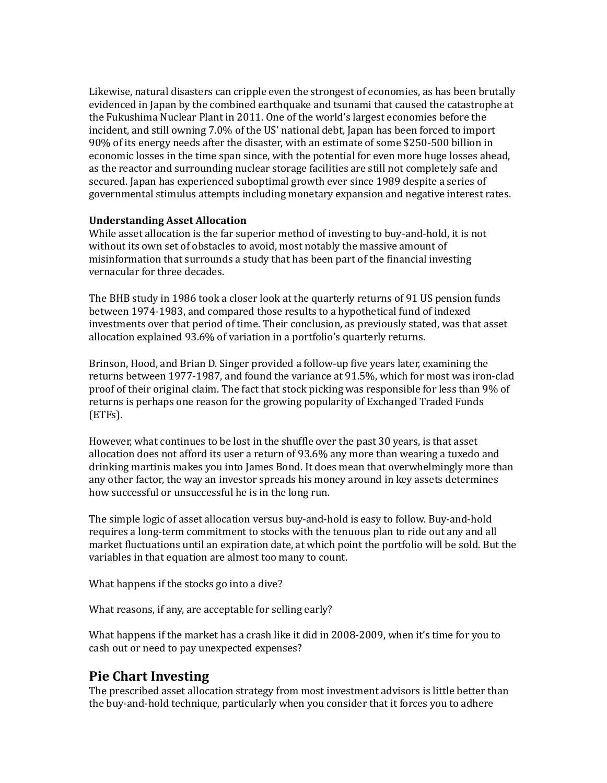Likewise, natural disasters can cripple even the strongest of economies, as has been brutally evidenced in Japan by the combined earthquake and tsunami that caused the catastrophe at the Fukushima Nuclear Plant in 2011. One of the world's largest economies before the incident, and still owning 7.0% of the US' national debt, Japan has been forced to import 90% of its energy needs after the disaster, with an estimate of some \$250-500 billion in economic losses in the time span since, with the potential for even more huge losses ahead, as the reactor and surrounding nuclear storage facilities are still not completely safe and secured. Japan has experienced suboptimal growth ever since 1989 despite a series of governmental stimulus attempts including monetary expansion and negative interest rates.

### **Understanding Asset Allocation**

While asset allocation is the far superior method of investing to buy-and-hold, it is not without its own set of obstacles to avoid, most notably the massive amount of misinformation that surrounds a study that has been part of the financial investing vernacular for three decades.

The BHB study in 1986 took a closer look at the quarterly returns of 91 US pension funds between 1974-1983, and compared those results to a hypothetical fund of indexed investments over that period of time. Their conclusion, as previously stated, was that asset allocation explained 93.6% of variation in a portfolio's quarterly returns.

Brinson, Hood, and Brian D. Singer provided a follow-up five years later, examining the returns between 1977-1987, and found the variance at 91.5%, which for most was iron-clad proof of their original claim. The fact that stock picking was responsible for less than 9% of returns is perhaps one reason for the growing popularity of Exchanged Traded Funds (ETFs).

However, what continues to be lost in the shuffle over the past 30 years, is that asset allocation does not afford its user a return of 93.6% any more than wearing a tuxedo and drinking martinis makes you into James Bond. It does mean that overwhelmingly more than any other factor, the way an investor spreads his money around in key assets determines how successful or unsuccessful he is in the long run.

The simple logic of asset allocation versus buy-and-hold is easy to follow. Buy-and-hold requires a long-term commitment to stocks with the tenuous plan to ride out any and all market fluctuations until an expiration date, at which point the portfolio will be sold. But the variables in that equation are almost too many to count.

What happens if the stocks go into a dive?

What reasons, if any, are acceptable for selling early?

What happens if the market has a crash like it did in 2008-2009, when it's time for you to cash out or need to pay unexpected expenses?

# **Pie Chart Investing**

The prescribed asset allocation strategy from most investment advisors is little better than the buy-and-hold technique, particularly when you consider that it forces you to adhere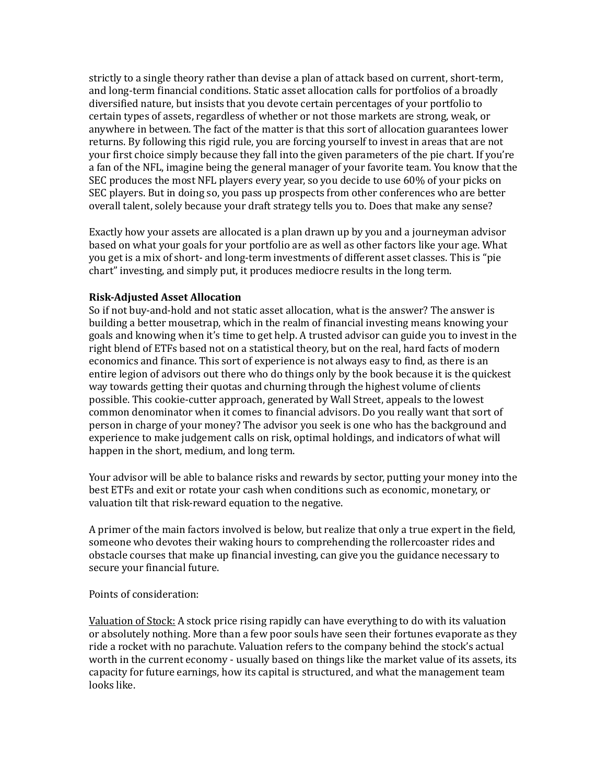strictly to a single theory rather than devise a plan of attack based on current, short-term, and long-term financial conditions. Static asset allocation calls for portfolios of a broadly diversified nature, but insists that you devote certain percentages of your portfolio to certain types of assets, regardless of whether or not those markets are strong, weak, or anywhere in between. The fact of the matter is that this sort of allocation guarantees lower returns. By following this rigid rule, you are forcing yourself to invest in areas that are not your first choice simply because they fall into the given parameters of the pie chart. If you're a fan of the NFL, imagine being the general manager of your favorite team. You know that the SEC produces the most NFL players every year, so you decide to use 60% of your picks on SEC players. But in doing so, you pass up prospects from other conferences who are better overall talent, solely because your draft strategy tells you to. Does that make any sense?

Exactly how your assets are allocated is a plan drawn up by you and a journeyman advisor based on what your goals for your portfolio are as well as other factors like your age. What you get is a mix of short- and long-term investments of different asset classes. This is "pie chart" investing, and simply put, it produces mediocre results in the long term.

# **Risk-Adjusted Asset Allocation**

So if not buy-and-hold and not static asset allocation, what is the answer? The answer is building a better mousetrap, which in the realm of financial investing means knowing your goals and knowing when it's time to get help. A trusted advisor can guide you to invest in the right blend of ETFs based not on a statistical theory, but on the real, hard facts of modern economics and finance. This sort of experience is not always easy to find, as there is an entire legion of advisors out there who do things only by the book because it is the quickest way towards getting their quotas and churning through the highest volume of clients possible. This cookie-cutter approach, generated by Wall Street, appeals to the lowest common denominator when it comes to financial advisors. Do you really want that sort of person in charge of your money? The advisor you seek is one who has the background and experience to make judgement calls on risk, optimal holdings, and indicators of what will happen in the short, medium, and long term.

Your advisor will be able to balance risks and rewards by sector, putting your money into the best ETFs and exit or rotate your cash when conditions such as economic, monetary, or valuation tilt that risk-reward equation to the negative.

A primer of the main factors involved is below, but realize that only a true expert in the field, someone who devotes their waking hours to comprehending the rollercoaster rides and obstacle courses that make up financial investing, can give you the guidance necessary to secure your financial future.

### Points of consideration:

Valuation of Stock: A stock price rising rapidly can have everything to do with its valuation or absolutely nothing. More than a few poor souls have seen their fortunes evaporate as they ride a rocket with no parachute. Valuation refers to the company behind the stock's actual worth in the current economy - usually based on things like the market value of its assets, its capacity for future earnings, how its capital is structured, and what the management team looks like.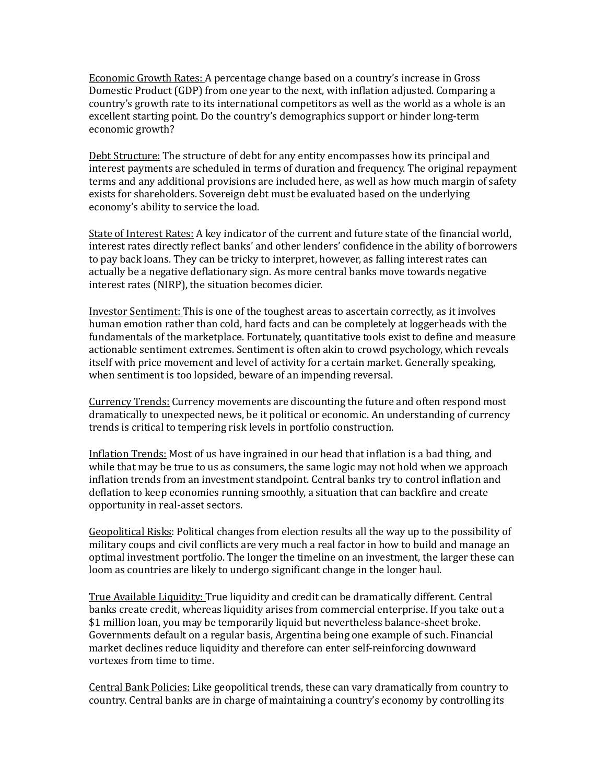Economic Growth Rates: A percentage change based on a country's increase in Gross Domestic Product (GDP) from one year to the next, with inflation adjusted. Comparing a country's growth rate to its international competitors as well as the world as a whole is an excellent starting point. Do the country's demographics support or hinder long-term economic growth?

Debt Structure: The structure of debt for any entity encompasses how its principal and interest payments are scheduled in terms of duration and frequency. The original repayment terms and any additional provisions are included here, as well as how much margin of safety exists for shareholders. Sovereign debt must be evaluated based on the underlying economy's ability to service the load.

State of Interest Rates: A key indicator of the current and future state of the financial world, interest rates directly reflect banks' and other lenders' confidence in the ability of borrowers to pay back loans. They can be tricky to interpret, however, as falling interest rates can actually be a negative deflationary sign. As more central banks move towards negative interest rates (NIRP), the situation becomes dicier.

Investor Sentiment: This is one of the toughest areas to ascertain correctly, as it involves human emotion rather than cold, hard facts and can be completely at loggerheads with the fundamentals of the marketplace. Fortunately, quantitative tools exist to define and measure actionable sentiment extremes. Sentiment is often akin to crowd psychology, which reveals itself with price movement and level of activity for a certain market. Generally speaking, when sentiment is too lopsided, beware of an impending reversal.

Currency Trends: Currency movements are discounting the future and often respond most dramatically to unexpected news, be it political or economic. An understanding of currency trends is critical to tempering risk levels in portfolio construction.

Inflation Trends: Most of us have ingrained in our head that inflation is a bad thing, and while that may be true to us as consumers, the same logic may not hold when we approach inflation trends from an investment standpoint. Central banks try to control inflation and deflation to keep economies running smoothly, a situation that can backfire and create opportunity in real-asset sectors.

Geopolitical Risks: Political changes from election results all the way up to the possibility of military coups and civil conflicts are very much a real factor in how to build and manage an optimal investment portfolio. The longer the timeline on an investment, the larger these can loom as countries are likely to undergo significant change in the longer haul.

True Available Liquidity: True liquidity and credit can be dramatically different. Central banks create credit, whereas liquidity arises from commercial enterprise. If you take out a \$1 million loan, you may be temporarily liquid but nevertheless balance-sheet broke. Governments default on a regular basis, Argentina being one example of such. Financial market declines reduce liquidity and therefore can enter self-reinforcing downward vortexes from time to time.

Central Bank Policies: Like geopolitical trends, these can vary dramatically from country to country. Central banks are in charge of maintaining a country's economy by controlling its